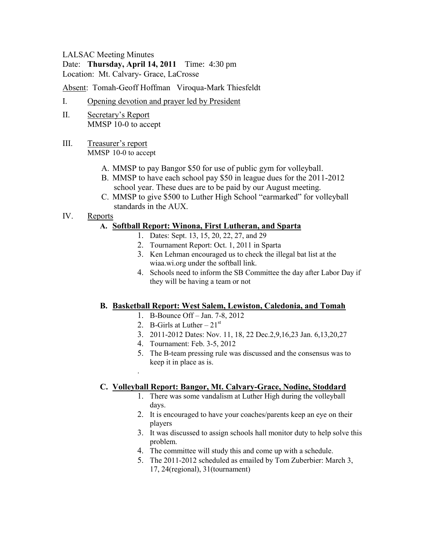#### LALSAC Meeting Minutes

Date: **Thursday, April 14, 2011** Time: 4:30 pm Location: Mt. Calvary- Grace, LaCrosse

Absent: Tomah-Geoff Hoffman Viroqua-Mark Thiesfeldt

- I. Opening devotion and prayer led by President
- II. Secretary's Report MMSP 10-0 to accept
- III. Treasurer's report MMSP 10-0 to accept
	- A. MMSP to pay Bangor \$50 for use of public gym for volleyball.
	- B. MMSP to have each school pay \$50 in league dues for the 2011-2012 school year. These dues are to be paid by our August meeting.
	- C. MMSP to give \$500 to Luther High School "earmarked" for volleyball standards in the AUX.
- IV. Reports

### **A. Softball Report: Winona, First Lutheran, and Sparta**

- 1. Dates: Sept. 13, 15, 20, 22, 27, and 29
- 2. Tournament Report: Oct. 1, 2011 in Sparta
- 3. Ken Lehman encouraged us to check the illegal bat list at the wiaa.wi.org under the softball link.
- 4. Schools need to inform the SB Committee the day after Labor Day if they will be having a team or not

# **B. Basketball Report: West Salem, Lewiston, Caledonia, and Tomah**

- 1. B-Bounce Off Jan. 7-8, 2012
- 2. B-Girls at Luther  $21<sup>st</sup>$

.

- 3. 2011-2012 Dates: Nov. 11, 18, 22 Dec.2,9,16,23 Jan. 6,13,20,27
- 4. Tournament: Feb. 3-5, 2012
- 5. The B-team pressing rule was discussed and the consensus was to keep it in place as is.

# **C. Volleyball Report: Bangor, Mt. Calvary-Grace, Nodine, Stoddard**

- 1. There was some vandalism at Luther High during the volleyball days.
- 2. It is encouraged to have your coaches/parents keep an eye on their players
- 3. It was discussed to assign schools hall monitor duty to help solve this problem.
- 4. The committee will study this and come up with a schedule.
- 5. The 2011-2012 scheduled as emailed by Tom Zuberbier: March 3, 17, 24(regional), 31(tournament)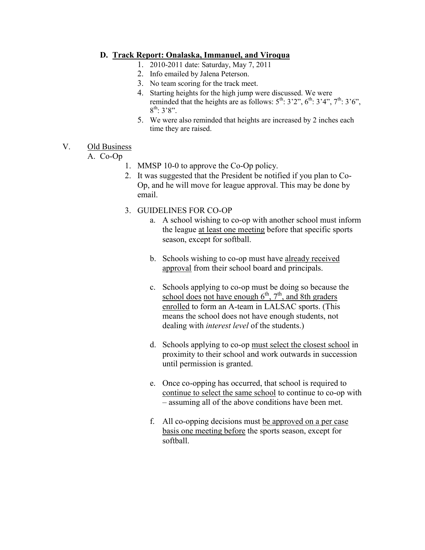## **D. Track Report: Onalaska, Immanuel, and Viroqua**

- 1. 2010-2011 date: Saturday, May 7, 2011
- 2. Info emailed by Jalena Peterson.
- 3. No team scoring for the track meet.
- 4. Starting heights for the high jump were discussed. We were reminded that the heights are as follows:  $5^{th}$ :  $3'2$ ",  $6^{th}$ :  $3'4$ ",  $7^{th}$ :  $3'6$ ",  $8^{\text{th}}$ : 3'8".
- 5. We were also reminded that heights are increased by 2 inches each time they are raised.

#### V. Old Business

A. Co-Op

- 1. MMSP 10-0 to approve the Co-Op policy.
- 2. It was suggested that the President be notified if you plan to Co-Op, and he will move for league approval. This may be done by email.
- 3. GUIDELINES FOR CO-OP
	- a. A school wishing to co-op with another school must inform the league at least one meeting before that specific sports season, except for softball.
	- b. Schools wishing to co-op must have already received approval from their school board and principals.
	- c. Schools applying to co-op must be doing so because the school does not have enough  $6<sup>th</sup>$ ,  $7<sup>th</sup>$ , and 8th graders enrolled to form an A-team in LALSAC sports. (This means the school does not have enough students, not dealing with *interest level* of the students.)
	- d. Schools applying to co-op must select the closest school in proximity to their school and work outwards in succession until permission is granted.
	- e. Once co-opping has occurred, that school is required to continue to select the same school to continue to co-op with – assuming all of the above conditions have been met.
	- f. All co-opping decisions must be approved on a per case basis one meeting before the sports season, except for softball.